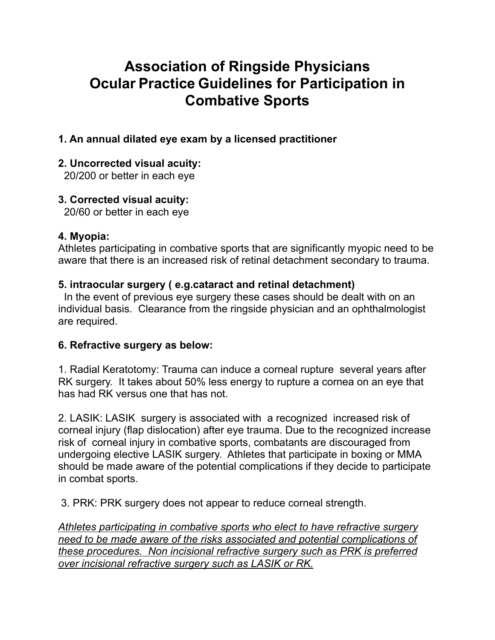# **Association of Ringside Physicians Ocular Practice Guidelines for Participation in Combative Sports**

## **1. An annual dilated eye exam by a licensed practitioner**

## **2. Uncorrected visual acuity:**

20/200 or better in each eye

## **3. Corrected visual acuity:**

20/60 or better in each eye

#### **4. Myopia:**

Athletes participating in combative sports that are significantly myopic need to be aware that there is an increased risk of retinal detachment secondary to trauma.

## **5. intraocular surgery ( e.g.cataract and retinal detachment)**

 In the event of previous eye surgery these cases should be dealt with on an individual basis. Clearance from the ringside physician and an ophthalmologist are required.

#### **6. Refractive surgery as below:**

1. Radial Keratotomy: Trauma can induce a corneal rupture several years after RK surgery. It takes about 50% less energy to rupture a cornea on an eye that has had RK versus one that has not.

2. LASIK: LASIK surgery is associated with a recognized increased risk of corneal injury (flap dislocation) after eye trauma. Due to the recognized increase risk of corneal injury in combative sports, combatants are discouraged from undergoing elective LASIK surgery. Athletes that participate in boxing or MMA should be made aware of the potential complications if they decide to participate in combat sports.

3. PRK: PRK surgery does not appear to reduce corneal strength.

*Athletes participating in combative sports who elect to have refractive surgery need to be made aware of the risks associated and potential complications of these procedures. Non incisional refractive surgery such as PRK is preferred over incisional refractive surgery such as LASIK or RK.*